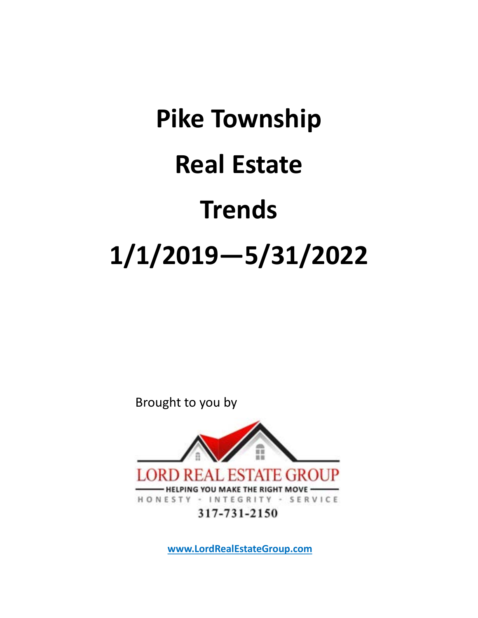## Pike Township Real Estate Trends 1/1/2019—5/31/2022

Brought to you by



www.LordRealEstateGroup.com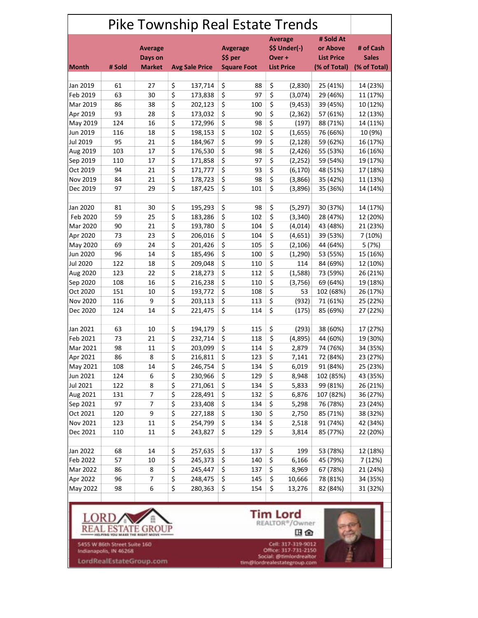|                 | Pike Township Real Estate Trends |                           |    |                             |    |                                          |    |                                            |                           |              |
|-----------------|----------------------------------|---------------------------|----|-----------------------------|----|------------------------------------------|----|--------------------------------------------|---------------------------|--------------|
|                 |                                  | <b>Average</b><br>Days on |    | <b>Avgerage</b><br>\$\$ per |    | <b>Average</b><br>\$\$ Under(-)<br>Over+ |    | # Sold At<br>or Above<br><b>List Price</b> | # of Cash<br><b>Sales</b> |              |
| <b>Month</b>    | # Sold                           | <b>Market</b>             |    | <b>Avg Sale Price</b>       |    | <b>Square Foot</b>                       |    | <b>List Price</b>                          | (% of Total)              | (% of Total) |
| Jan 2019        | 61                               | 27                        | \$ | 137,714                     | \$ | 88                                       | \$ | (2,830)                                    | 25 (41%)                  | 14 (23%)     |
| Feb 2019        | 63                               | 30                        | \$ | 173,838                     | \$ | 97                                       | \$ | (3,074)                                    | 29 (46%)                  | 11 (17%)     |
| Mar 2019        | 86                               | 38                        | \$ | 202,123                     | \$ | 100                                      | \$ | (9, 453)                                   | 39 (45%)                  | 10 (12%)     |
| Apr 2019        | 93                               | 28                        | \$ | 173,032                     | \$ | 90                                       | \$ | (2, 362)                                   | 57 (61%)                  | 12 (13%)     |
| May 2019        | 124                              | 16                        | \$ | 172,996                     | \$ | 98                                       | \$ | (197)                                      | 88 (71%)                  | 14 (11%)     |
| Jun 2019        | 116                              | 18                        | \$ | 198,153                     | \$ | 102                                      | \$ | (1,655)                                    | 76 (66%)                  | 10 (9%)      |
| Jul 2019        | 95                               | 21                        | \$ | 184,967                     | \$ | 99                                       | \$ | (2, 128)                                   | 59 (62%)                  | 16 (17%)     |
| Aug 2019        | 103                              | 17                        | \$ | 176,530                     | \$ | 98                                       | \$ | (2,426)                                    | 55 (53%)                  | 16 (16%)     |
| Sep 2019        | 110                              | 17                        | \$ | 171,858                     | \$ | 97                                       | \$ | (2, 252)                                   | 59 (54%)                  | 19 (17%)     |
| Oct 2019        | 94                               | 21                        | \$ | 171,777                     | \$ | 93                                       | \$ | (6, 170)                                   | 48 (51%)                  | 17 (18%)     |
| Nov 2019        | 84                               | 21                        | \$ | 178,723                     | \$ | 98                                       | \$ | (3,866)                                    | 35 (42%)                  | 11 (13%)     |
| Dec 2019        | 97                               | 29                        | \$ | 187,425                     | \$ | 101                                      | \$ | (3,896)                                    | 35 (36%)                  | 14 (14%)     |
|                 |                                  |                           |    |                             |    |                                          |    |                                            |                           |              |
| Jan 2020        | 81                               | 30                        | \$ | 195,293                     | \$ | 98                                       | \$ | (5, 297)                                   | 30 (37%)                  | 14 (17%)     |
| Feb 2020        | 59                               | 25                        | \$ | 183,286                     | \$ | 102                                      | \$ | (3, 340)                                   | 28 (47%)                  | 12 (20%)     |
| Mar 2020        | 90                               | 21                        | \$ | 193,780                     | \$ | 104                                      | \$ | (4,014)                                    | 43 (48%)                  | 21 (23%)     |
| Apr 2020        | 73                               | 23                        | \$ | 206,016                     | \$ | 104                                      | \$ | (4,651)                                    | 39 (53%)                  | 7 (10%)      |
| May 2020        | 69                               | 24                        | \$ | 201,426                     | \$ | 105                                      | \$ | (2, 106)                                   | 44 (64%)                  | 5 (7%)       |
| Jun 2020        | 96                               | 14                        | \$ | 185,496                     | \$ | 100                                      | \$ | (1, 290)                                   | 53 (55%)                  | 15 (16%)     |
| <b>Jul 2020</b> | 122                              | 18                        | \$ | 209,048                     | \$ | 110                                      | \$ | 114                                        | 84 (69%)                  | 12 (10%)     |
| Aug 2020        | 123                              | 22                        | \$ | 218,273                     | \$ | 112                                      | \$ | (1,588)                                    | 73 (59%)                  | 26 (21%)     |
| Sep 2020        | 108                              | 16                        | \$ | 216,238                     | \$ | 110                                      | \$ | (3,756)                                    | 69 (64%)                  | 19 (18%)     |
| Oct 2020        | 151                              | 10                        | \$ | 193,772                     | \$ | 108                                      | \$ | 53                                         | 102 (68%)                 | 26 (17%)     |
| Nov 2020        | 116                              | 9                         | \$ | 203,113                     | \$ | 113                                      | \$ | (932)                                      | 71 (61%)                  | 25 (22%)     |
| Dec 2020        | 124                              | 14                        | \$ | 221,475                     | \$ | 114                                      | \$ | (175)                                      | 85 (69%)                  | 27 (22%)     |
|                 |                                  |                           |    |                             |    |                                          |    |                                            |                           |              |
| Jan 2021        | 63                               | 10                        | \$ | 194,179                     | \$ | 115                                      | \$ | (293)                                      | 38 (60%)                  | 17 (27%)     |
| Feb 2021        | 73                               | 21                        | \$ | 232,714                     | \$ | 118                                      | \$ | (4,895)                                    | 44 (60%)                  | 19 (30%)     |
| Mar 2021        | 98                               | 11                        | \$ | 203,099                     | \$ | 114                                      | \$ | 2,879                                      | 74 (76%)                  | 34 (35%)     |
| Apr 2021        | 86                               | 8                         | \$ | 216,811                     | \$ | 123                                      | \$ | 7,141                                      | 72 (84%)                  | 23 (27%)     |
| May 2021        | 108                              | 14                        | \$ | 246,754                     | \$ | 134                                      | \$ | 6,019                                      | 91 (84%)                  | 25 (23%)     |
| Jun 2021        | 124                              | 6                         | \$ | 230,966                     | \$ | 129                                      | \$ | 8,948                                      | 102 (85%)                 | 43 (35%)     |
| Jul 2021        | 122                              | 8                         | \$ | 271,061                     | \$ | 134                                      | \$ | 5,833                                      | 99 (81%)                  | 26 (21%)     |
| Aug 2021        | 131                              | 7                         | \$ | 228,491                     | \$ | 132                                      | \$ | 6,876                                      | 107 (82%)                 | 36 (27%)     |
| Sep 2021        | 97                               | 7                         | \$ | 233,408                     | \$ | 134                                      | \$ | 5,298                                      | 76 (78%)                  | 23 (24%)     |
| Oct 2021        | 120                              | 9                         | \$ | 227,188                     | \$ | 130                                      | \$ | 2,750                                      | 85 (71%)                  | 38 (32%)     |
| Nov 2021        | 123                              | 11                        | \$ | 254,799                     | \$ | 134                                      | \$ | 2,518                                      | 91 (74%)                  | 42 (34%)     |
| Dec 2021        | 110                              | 11                        | \$ | 243,827                     | \$ | 129                                      | \$ | 3,814                                      | 85 (77%)                  | 22 (20%)     |
|                 |                                  |                           |    |                             |    |                                          |    |                                            |                           |              |
| Jan 2022        | 68                               | 14                        | \$ | 257,635                     | \$ | 137                                      | \$ | 199                                        | 53 (78%)                  | 12 (18%)     |
| Feb 2022        | 57                               | 10                        | \$ | 245,373                     | \$ | 140                                      | \$ | 6,166                                      | 45 (79%)                  | 7 (12%)      |
| Mar 2022        | 86                               | 8                         | \$ | 245,447                     | \$ | 137                                      | \$ | 8,969                                      | 67 (78%)                  | 21 (24%)     |
| Apr 2022        | 96                               | 7                         | \$ | 248,475                     | \$ | 145                                      | \$ | 10,666                                     | 78 (81%)                  | 34 (35%)     |
| May 2022        | 98                               | 6                         | \$ | 280,363                     | \$ | 154                                      | \$ | 13,276                                     | 82 (84%)                  | 31 (32%)     |
|                 |                                  |                           |    |                             |    |                                          |    |                                            |                           |              |



5455 W 86th Street Suite 160<br>Indianapolis, IN 46268

LordRealEstateGroup.com

 $\mathop{\hbox{\bf Tim Lord}}_{\hbox{\tt REALTOR*}/\hbox{\tt Owner}}$ 田金

Cell: 317-319-9012<br>Office: 317-731-2150<br>Social: @timlordreakor<br>tim@lordrealestategroup.com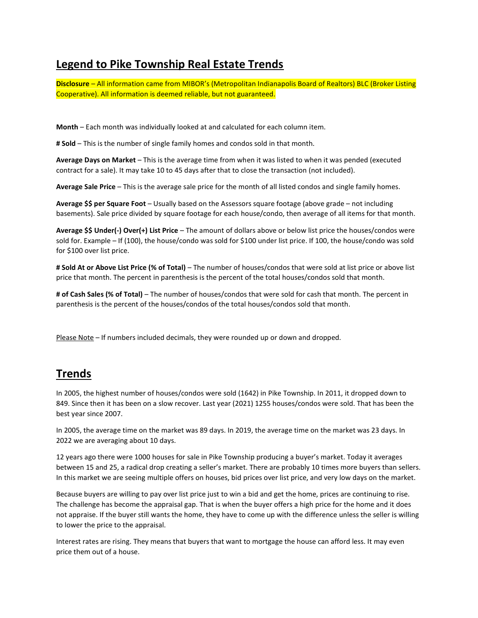## Legend to Pike Township Real Estate Trends

Disclosure – All information came from MIBOR's (Metropolitan Indianapolis Board of Realtors) BLC (Broker Listing Cooperative). All information is deemed reliable, but not guaranteed.

Month – Each month was individually looked at and calculated for each column item.

**# Sold** – This is the number of single family homes and condos sold in that month.

Average Days on Market – This is the average time from when it was listed to when it was pended (executed contract for a sale). It may take 10 to 45 days after that to close the transaction (not included).

Average Sale Price – This is the average sale price for the month of all listed condos and single family homes.

Average \$\$ per Square Foot – Usually based on the Assessors square footage (above grade – not including basements). Sale price divided by square footage for each house/condo, then average of all items for that month.

Average \$\$ Under(-) Over(+) List Price – The amount of dollars above or below list price the houses/condos were sold for. Example – If (100), the house/condo was sold for \$100 under list price. If 100, the house/condo was sold for \$100 over list price.

# Sold At or Above List Price (% of Total) – The number of houses/condos that were sold at list price or above list price that month. The percent in parenthesis is the percent of the total houses/condos sold that month.

# of Cash Sales (% of Total) – The number of houses/condos that were sold for cash that month. The percent in parenthesis is the percent of the houses/condos of the total houses/condos sold that month.

Please Note – If numbers included decimals, they were rounded up or down and dropped.

## Trends

In 2005, the highest number of houses/condos were sold (1642) in Pike Township. In 2011, it dropped down to 849. Since then it has been on a slow recover. Last year (2021) 1255 houses/condos were sold. That has been the best year since 2007.

In 2005, the average time on the market was 89 days. In 2019, the average time on the market was 23 days. In 2022 we are averaging about 10 days.

12 years ago there were 1000 houses for sale in Pike Township producing a buyer's market. Today it averages between 15 and 25, a radical drop creating a seller's market. There are probably 10 times more buyers than sellers. In this market we are seeing multiple offers on houses, bid prices over list price, and very low days on the market.

Because buyers are willing to pay over list price just to win a bid and get the home, prices are continuing to rise. The challenge has become the appraisal gap. That is when the buyer offers a high price for the home and it does not appraise. If the buyer still wants the home, they have to come up with the difference unless the seller is willing to lower the price to the appraisal.

Interest rates are rising. They means that buyers that want to mortgage the house can afford less. It may even price them out of a house.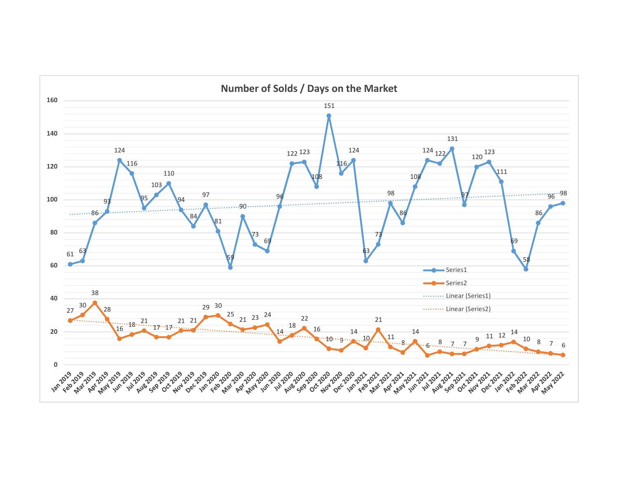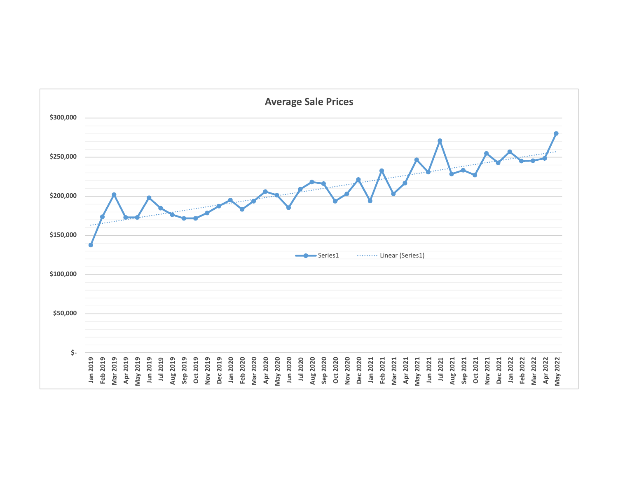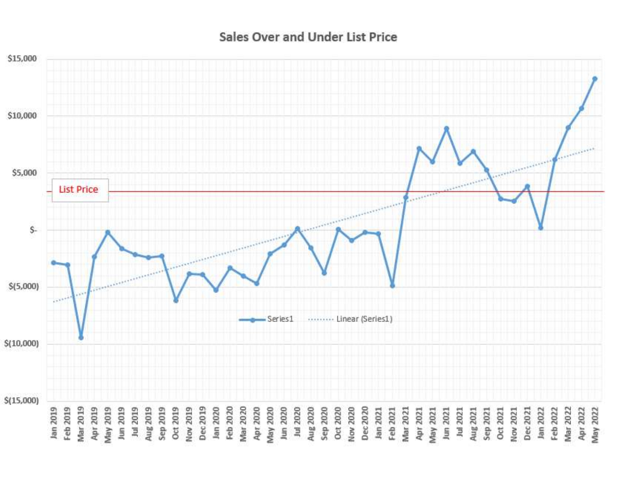**Sales Over and Under List Price** 

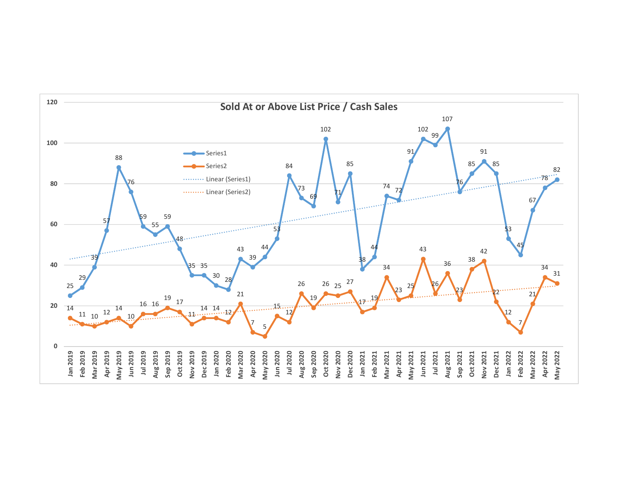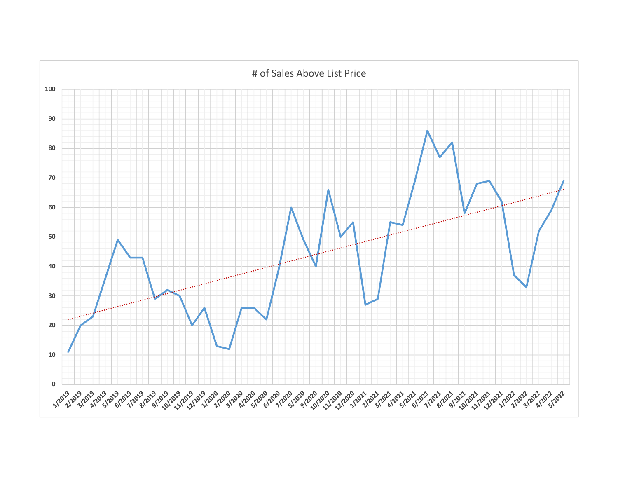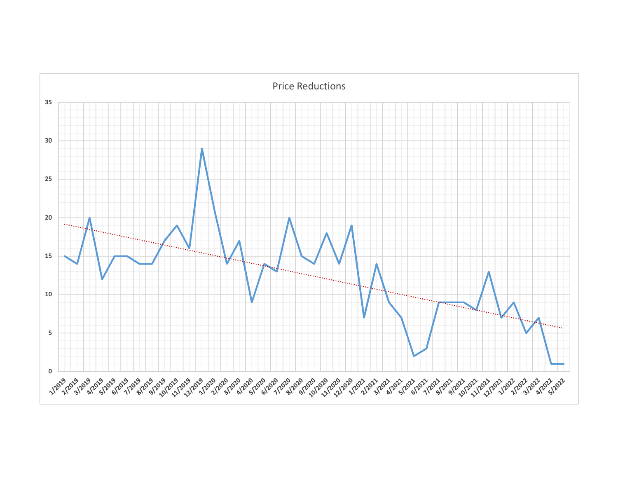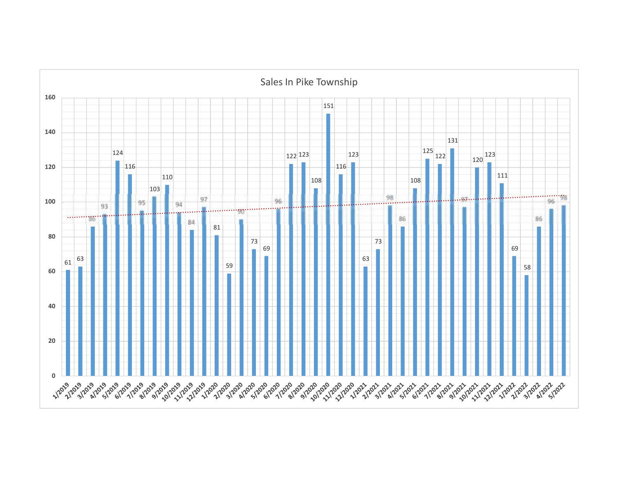